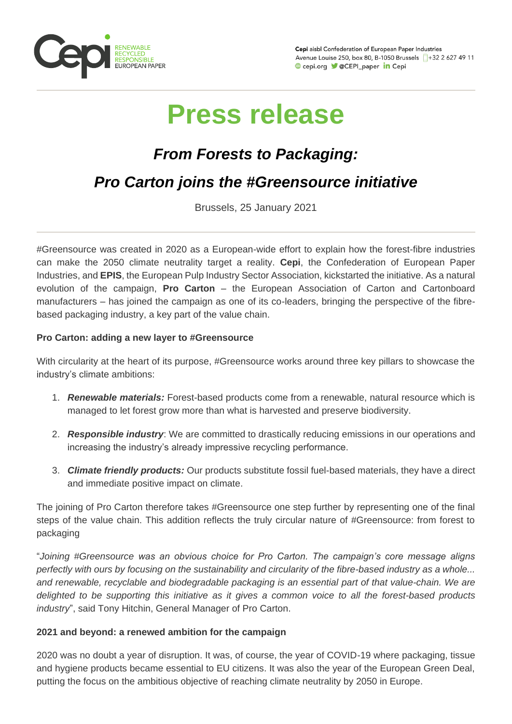

Cepi aisbl Confederation of European Paper Industries Avenue Louise 250, box 80, B-1050 Brussels 1+32 2 627 49 11 Cepi.org CEPI\_paper in Cepi

# **Press release**

# *From Forests to Packaging:*

# *Pro Carton joins the #Greensource initiative*

Brussels, 25 January 2021

#Greensource was created in 2020 as a European-wide effort to explain how the forest-fibre industries can make the 2050 climate neutrality target a reality. **Cepi**, the Confederation of European Paper Industries, and **EPIS**, the European Pulp Industry Sector Association, kickstarted the initiative. As a natural evolution of the campaign, **Pro Carton** – the European Association of Carton and Cartonboard manufacturers – has joined the campaign as one of its co-leaders, bringing the perspective of the fibrebased packaging industry, a key part of the value chain.

## **Pro Carton: adding a new layer to #Greensource**

With circularity at the heart of its purpose, #Greensource works around three key pillars to showcase the industry's climate ambitions:

- 1. *Renewable materials:* Forest-based products come from a renewable, natural resource which is managed to let forest grow more than what is harvested and preserve biodiversity.
- 2. *Responsible industry*: We are committed to drastically reducing emissions in our operations and increasing the industry's already impressive recycling performance.
- 3. *Climate friendly products:* Our products substitute fossil fuel-based materials, they have a direct and immediate positive impact on climate.

The joining of Pro Carton therefore takes #Greensource one step further by representing one of the final steps of the value chain. This addition reflects the truly circular nature of #Greensource: from forest to packaging

"*Joining #Greensource was an obvious choice for Pro Carton. The campaign's core message aligns perfectly with ours by focusing on the sustainability and circularity of the fibre-based industry as a whole... and renewable, recyclable and biodegradable packaging is an essential part of that value-chain. We are delighted to be supporting this initiative as it gives a common voice to all the forest-based products industry*", said Tony Hitchin, General Manager of Pro Carton.

### **2021 and beyond: a renewed ambition for the campaign**

2020 was no doubt a year of disruption. It was, of course, the year of COVID-19 where packaging, tissue and hygiene products became essential to EU citizens. It was also the year of the European Green Deal, putting the focus on the ambitious objective of reaching climate neutrality by 2050 in Europe.